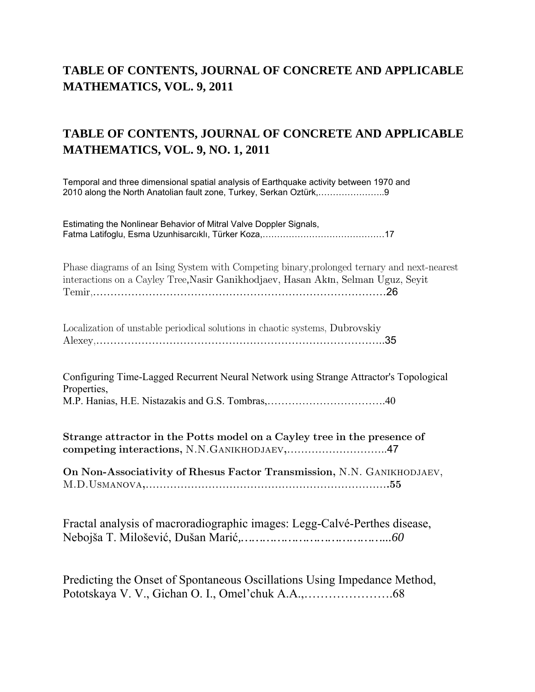## **TABLE OF CONTENTS, JOURNAL OF CONCRETE AND APPLICABLE MATHEMATICS, VOL. 9, 2011**

## **TABLE OF CONTENTS, JOURNAL OF CONCRETE AND APPLICABLE MATHEMATICS, VOL. 9, NO. 1, 2011**

Temporal and three dimensional spatial analysis of Earthquake activity between 1970 and 2010 along the North Anatolian fault zone, Turkey, Serkan Oztürk,…………………..9

Estimating the Nonlinear Behavior of Mitral Valve Doppler Signals, Fatma Latifoglu, Esma Uzunhisarcıklı, Türker Koza,……………………………………17

Phase diagrams of an Ising System with Competing binary,prolonged ternary and next-nearest interactions on a Cayley Tree,Nasir Ganikhodjaev, Hasan Akın, Selman Uguz, Seyit Temir,…………………………………………………………………………26

| Localization of unstable periodical solutions in chaotic systems, Dubrovskiy |  |
|------------------------------------------------------------------------------|--|
|                                                                              |  |

Configuring Time-Lagged Recurrent Neural Network using Strange Attractor's Topological Properties, M.P. Hanias, H.E. Nistazakis and G.S. Tombras,…………………………….40

Strange attractor in the Potts model on a Cayley tree in the presence of competing interactions, N.N.Ganikhodjaev,………………………..47

On Non-Associativity of Rhesus Factor Transmission, N.N. Ganikhodjaev, M.D.Usmanova,…………………………………………………………….55

Fractal analysis of macroradiographic images: Legg-Calvé-Perthes disease, Nebojša T. Milošević, Dušan Marić*,…………………………………...60* 

Predicting the Onset of Spontaneous Oscillations Using Impedance Method, Pototskaya V. V., Gichan O. I., Omel'chuk A.A.,………………….68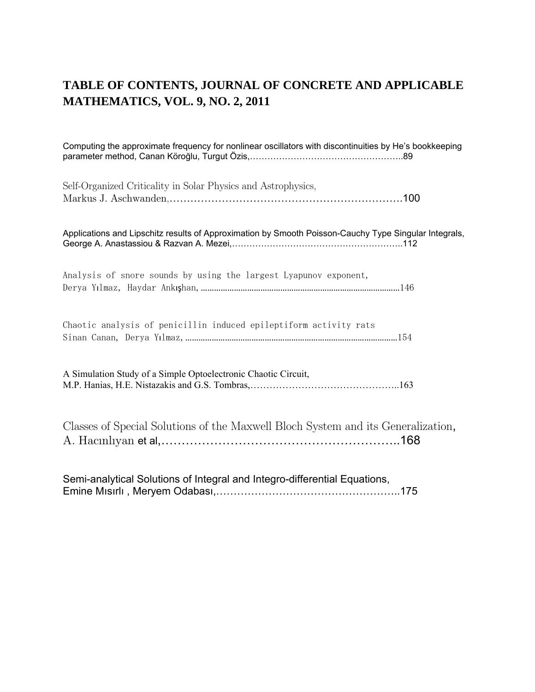#### **TABLE OF CONTENTS, JOURNAL OF CONCRETE AND APPLICABLE MATHEMATICS, VOL. 9, NO. 2, 2011**

Computing the approximate frequency for nonlinear oscillators with discontinuities by He's bookkeeping parameter method, Canan Köroğlu, Turgut Özis,……………………………………………..89 Self-Organized Criticality in Solar Physics and Astrophysics, Markus J. Aschwanden,………………………………………………………….100 Applications and Lipschitz results of Approximation by Smooth Poisson-Cauchy Type Singular Integrals, George A. Anastassiou & Razvan A. Mezei,…………………………………………………..112 Analysis of snore sounds by using the largest Lyapunov exponent, Derya Yılmaz, Haydar Ankışhan,………………………………………………………………………………146 Chaotic analysis of penicillin induced epileptiform activity rats Sinan Canan, Derya Yılmaz,……………………………………………………………………………………154 A Simulation Study of a Simple Optoelectronic Chaotic Circuit, M.P. Hanias, H.E. Nistazakis and G.S. Tombras,………………………………………..163 Classes of Special Solutions of the Maxwell Bloch System and its Generalization, A. Hacınlıyan et al,…………………………………………………..168 Semi-analytical Solutions of Integral and Integro-differential Equations, Emine Mısırlı , Meryem Odabası,……………………………………………..175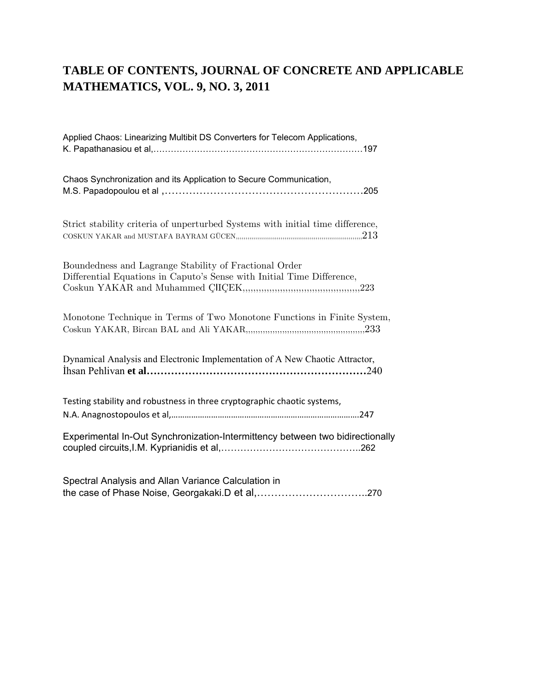## TABLE OF CONTENTS, JOURNAL OF CONCRETE AND APPLICABLE MATHEMATICS, VOL. 9, NO. 3, 2011

| Applied Chaos: Linearizing Multibit DS Converters for Telecom Applications,                                                             |
|-----------------------------------------------------------------------------------------------------------------------------------------|
| Chaos Synchronization and its Application to Secure Communication,                                                                      |
| Strict stability criteria of unperturbed Systems with initial time difference,<br>COSKUN YAKAR and MUSTAFA BAYRAM GÜCEN, $\ldots$ $213$ |
| Boundedness and Lagrange Stability of Fractional Order<br>Differential Equations in Caputo's Sense with Initial Time Difference,        |
| Monotone Technique in Terms of Two Monotone Functions in Finite System,                                                                 |
| Dynamical Analysis and Electronic Implementation of A New Chaotic Attractor,                                                            |
| Testing stability and robustness in three cryptographic chaotic systems,                                                                |
| Experimental In-Out Synchronization-Intermittency between two bidirectionally                                                           |
| Spectral Analysis and Allan Variance Calculation in                                                                                     |